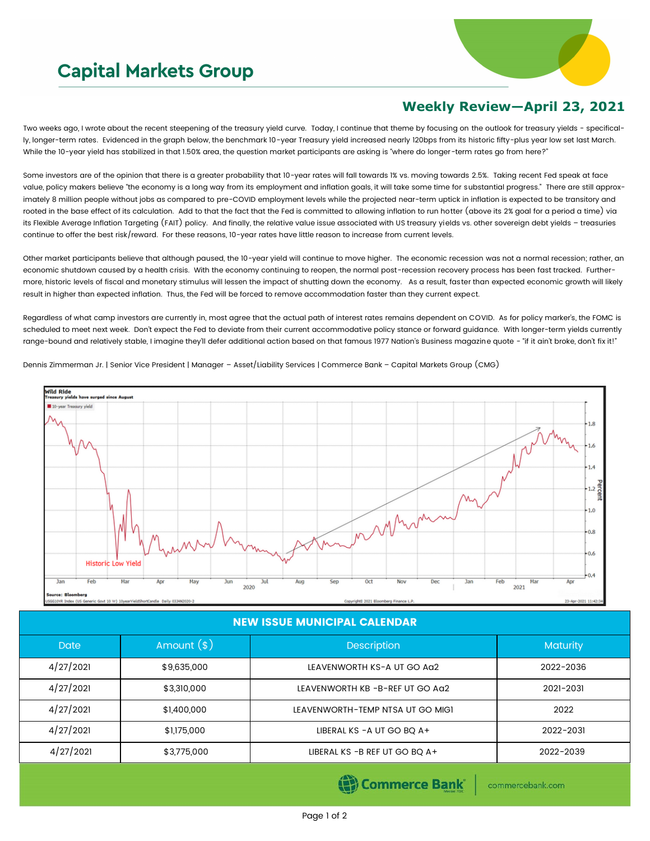## **Capital Markets Group**



## **Weekly Review—April 23, 2021**

Two weeks ago, I wrote about the recent steepening of the treasury yield curve. Today, I continue that theme by focusing on the outlook for treasury yields - specifically, longer-term rates. Evidenced in the graph below, the benchmark 10-year Treasury yield increased nearly 120bps from its historic fifty-plus year low set last March. While the 10-year yield has stabilized in that 1.50% area, the question market participants are asking is "where do longer-term rates go from here?"

Some investors are of the opinion that there is a greater probability that 10-year rates will fall towards 1% vs. moving towards 2.5%. Taking recent Fed speak at face value, policy makers believe "the economy is a long way from its employment and inflation goals, it will take some time for substantial progress." There are still approximately 8 million people without jobs as compared to pre-COVID employment levels while the projected near-term uptick in inflation is expected to be transitory and rooted in the base effect of its calculation. Add to that the fact that the Fed is committed to allowing inflation to run hotter (above its 2% goal for a period a time) via its Flexible Average Inflation Targeting (FAIT) policy. And finally, the relative value issue associated with US treasury yields vs. other sovereign debt yields – treasuries continue to offer the best risk/reward. For these reasons, 10-year rates have little reason to increase from current levels.

Other market participants believe that although paused, the 10-year yield will continue to move higher. The economic recession was not a normal recession; rather, an economic shutdown caused by a health crisis. With the economy continuing to reopen, the normal post-recession recovery process has been fast tracked. Furthermore, historic levels of fiscal and monetary stimulus will lessen the impact of shutting down the economy. As a result, faster than expected economic growth will likely result in higher than expected inflation. Thus, the Fed will be forced to remove accommodation faster than they current expect.

Regardless of what camp investors are currently in, most agree that the actual path of interest rates remains dependent on COVID. As for policy marker's, the FOMC is scheduled to meet next week. Don't expect the Fed to deviate from their current accommodative policy stance or forward guidance. With longer-term yields currently range-bound and relatively stable, I imagine they'll defer additional action based on that famous 1977 Nation's Business magazine quote - "if it ain't broke, don't fix it!"



Dennis Zimmerman Jr. | Senior Vice President | Manager – Asset/Liability Services | Commerce Bank – Capital Markets Group (CMG)

## NEW ISSUE MUNICIPAL CALENDAR

| Amount $(*)$ | <b>Description</b>               | <b>Maturity</b> |  |
|--------------|----------------------------------|-----------------|--|
| \$9,635,000  | LEAVENWORTH KS-A UT GO AG2       | 2022-2036       |  |
| \$3,310,000  | LEAVENWORTH KB -B-REF UT GO AQ2  | 2021-2031       |  |
| \$1,400,000  | LEAVENWORTH-TEMP NTSA UT GO MIGI | 2022            |  |
| \$1,175,000  | LIBERAL KS - A UT GO BQ A+       | 2022-2031       |  |
| \$3,775,000  | LIBERAL KS -B REF UT GO BQ A+    | 2022-2039       |  |
|              |                                  |                 |  |

**Commerce Bank** 

commercebank.com